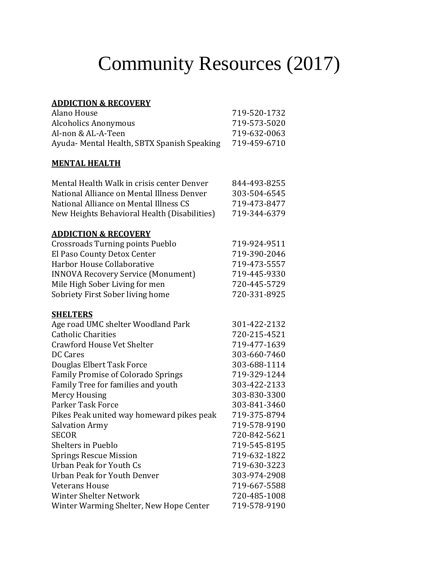# Community Resources (2017)

#### **ADDICTION & RECOVERY**

| Alano House                                 | 719-520-1732 |
|---------------------------------------------|--------------|
| Alcoholics Anonymous                        | 719-573-5020 |
| Al-non & AL-A-Teen                          | 719-632-0063 |
| Ayuda- Mental Health, SBTX Spanish Speaking | 719-459-6710 |

## **MENTAL HEALTH**

| Mental Health Walk in crisis center Denver   | 844-493-8255 |
|----------------------------------------------|--------------|
| National Alliance on Mental Illness Denver   | 303-504-6545 |
| National Alliance on Mental Illness CS       | 719-473-8477 |
| New Heights Behavioral Health (Disabilities) | 719-344-6379 |
| <b>ADDICTION &amp; RECOVERY</b>              |              |
| <b>Crossroads Turning points Pueblo</b>      | 719-924-9511 |
| El Paso County Detox Center                  | 719-390-2046 |
| Harbor House Collaborative                   | 719-473-5557 |
| <b>INNOVA Recovery Service (Monument)</b>    | 719-445-9330 |
| Mile High Sober Living for men               | 720-445-5729 |
| Sobriety First Sober living home             | 720-331-8925 |
| <b>SHELTERS</b>                              |              |
| Age road UMC shelter Woodland Park           | 301-422-2132 |
| <b>Catholic Charities</b>                    | 720-215-4521 |
| <b>Crawford House Vet Shelter</b>            | 719-477-1639 |
| <b>DC Cares</b>                              | 303-660-7460 |
| Douglas Elbert Task Force                    | 303-688-1114 |
| <b>Family Promise of Colorado Springs</b>    | 719-329-1244 |
| Family Tree for families and youth           | 303-422-2133 |
| <b>Mercy Housing</b>                         | 303-830-3300 |
| <b>Parker Task Force</b>                     | 303-841-3460 |
| Pikes Peak united way homeward pikes peak    | 719-375-8794 |
| <b>Salvation Army</b>                        | 719-578-9190 |
| <b>SECOR</b>                                 | 720-842-5621 |
| <b>Shelters in Pueblo</b>                    | 719-545-8195 |
| <b>Springs Rescue Mission</b>                | 719-632-1822 |
| Urban Peak for Youth Cs                      | 719-630-3223 |
| <b>Urban Peak for Youth Denver</b>           | 303-974-2908 |
| <b>Veterans House</b>                        | 719-667-5588 |
| <b>Winter Shelter Network</b>                | 720-485-1008 |
| Winter Warming Shelter, New Hope Center      | 719-578-9190 |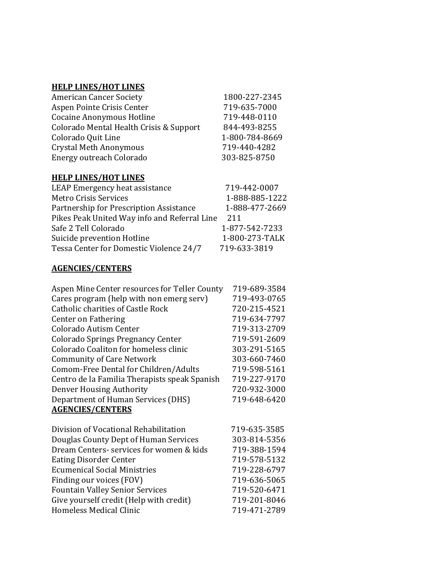#### **HELP LINES/HOT LINES**

| 1800-227-2345  |
|----------------|
| 719-635-7000   |
| 719-448-0110   |
| 844-493-8255   |
| 1-800-784-8669 |
| 719-440-4282   |
| 303-825-8750   |
|                |

#### **HELP LINES/HOT LINES**

| LEAP Emergency heat assistance               | 719-442-0007   |
|----------------------------------------------|----------------|
| <b>Metro Crisis Services</b>                 | 1-888-885-1222 |
| Partnership for Prescription Assistance      | 1-888-477-2669 |
| Pikes Peak United Way info and Referral Line | 211            |
| Safe 2 Tell Colorado                         | 1-877-542-7233 |
| Suicide prevention Hotline                   | 1-800-273-TALK |
| Tessa Center for Domestic Violence 24/7      | 719-633-3819   |

#### **AGENCIES/CENTERS**

| Aspen Mine Center resources for Teller County | 719-689-3584 |
|-----------------------------------------------|--------------|
| Cares program (help with non emerg serv)      | 719-493-0765 |
| <b>Catholic charities of Castle Rock</b>      | 720-215-4521 |
| Center on Fathering                           | 719-634-7797 |
| Colorado Autism Center                        | 719-313-2709 |
| <b>Colorado Springs Pregnancy Center</b>      | 719-591-2609 |
| Colorado Coaliton for homeless clinic         | 303-291-5165 |
| <b>Community of Care Network</b>              | 303-660-7460 |
| Comom-Free Dental for Children/Adults         | 719-598-5161 |
| Centro de la Familia Therapists speak Spanish | 719-227-9170 |
| Denver Housing Authority                      | 720-932-3000 |
| Department of Human Services (DHS)            | 719-648-6420 |
| <b>AGENCIES/CENTERS</b>                       |              |
|                                               |              |
| Division of Vocational Rehabilitation         | 719-635-3585 |

| Division of Vocational Rehabilitation    | 719-635-3585 |
|------------------------------------------|--------------|
| Douglas County Dept of Human Services    | 303-814-5356 |
| Dream Centers- services for women & kids | 719-388-1594 |
| <b>Eating Disorder Center</b>            | 719-578-5132 |
| <b>Ecumenical Social Ministries</b>      | 719-228-6797 |
| Finding our voices (FOV)                 | 719-636-5065 |
| <b>Fountain Valley Senior Services</b>   | 719-520-6471 |
| Give yourself credit (Help with credit)  | 719-201-8046 |
| Homeless Medical Clinic                  | 719-471-2789 |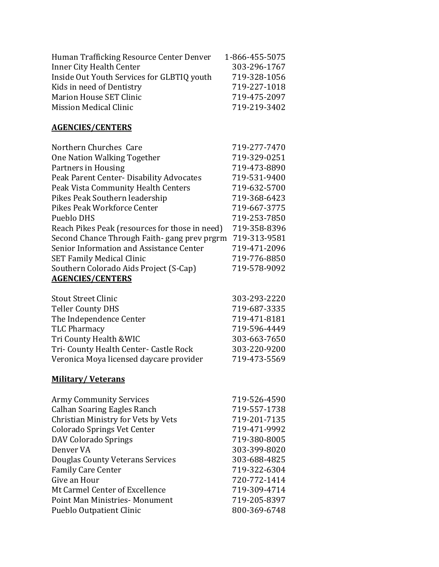| Human Trafficking Resource Center Denver   | 1-866-455-5075 |
|--------------------------------------------|----------------|
| Inner City Health Center                   | 303-296-1767   |
| Inside Out Youth Services for GLBTIQ youth | 719-328-1056   |
| Kids in need of Dentistry                  | 719-227-1018   |
| Marion House SET Clinic                    | 719-475-2097   |
| <b>Mission Medical Clinic</b>              | 719-219-3402   |

#### **AGENCIES/CENTERS**

| Northern Churches Care                         | 719-277-7470 |
|------------------------------------------------|--------------|
| One Nation Walking Together                    | 719-329-0251 |
| Partners in Housing                            | 719-473-8890 |
| Peak Parent Center- Disability Advocates       | 719-531-9400 |
| Peak Vista Community Health Centers            | 719-632-5700 |
| Pikes Peak Southern leadership                 | 719-368-6423 |
| Pikes Peak Workforce Center                    | 719-667-3775 |
| Pueblo DHS                                     | 719-253-7850 |
| Reach Pikes Peak (resources for those in need) | 719-358-8396 |
| Second Chance Through Faith-gang prev prgrm    | 719-313-9581 |
| Senior Information and Assistance Center       | 719-471-2096 |
| <b>SET Family Medical Clinic</b>               | 719-776-8850 |
| Southern Colorado Aids Project (S-Cap)         | 719-578-9092 |
| <b>AGENCIES/CENTERS</b>                        |              |

| <b>Stout Street Clinic</b>              | 303-293-2220 |
|-----------------------------------------|--------------|
| <b>Teller County DHS</b>                | 719-687-3335 |
| The Independence Center                 | 719-471-8181 |
| <b>TLC Pharmacy</b>                     | 719-596-4449 |
| Tri County Health & WIC                 | 303-663-7650 |
| Tri- County Health Center- Castle Rock  | 303-220-9200 |
| Veronica Moya licensed daycare provider | 719-473-5569 |

### **Military/ Veterans**

| 719-526-4590 |
|--------------|
| 719-557-1738 |
| 719-201-7135 |
| 719-471-9992 |
| 719-380-8005 |
| 303-399-8020 |
| 303-688-4825 |
| 719-322-6304 |
| 720-772-1414 |
| 719-309-4714 |
| 719-205-8397 |
| 800-369-6748 |
|              |